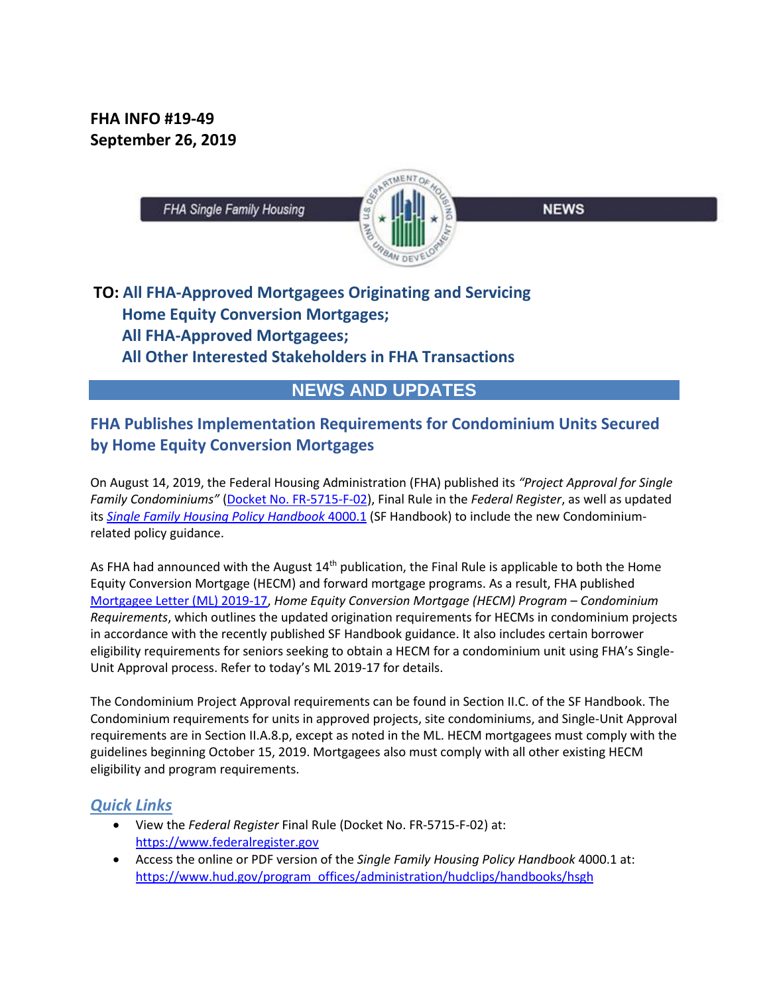**FHA INFO #19-49 September 26, 2019**



**NEWS** 

# **TO: All FHA-Approved Mortgagees Originating and Servicing Home Equity Conversion Mortgages; All FHA-Approved Mortgagees; All Other Interested Stakeholders in FHA Transactions**

## **NEWS AND UPDATES**

### **FHA Publishes Implementation Requirements for Condominium Units Secured by Home Equity Conversion Mortgages**

On August 14, 2019, the Federal Housing Administration (FHA) published its *"Project Approval for Single Family Condominiums"* (Docket No. FR-5715-F-02), Final Rule in the *Federal Register*, as well as updated its *Single Family Housing Policy Handbook* 4000.1 (SF Handbook) to include the new Condominiumrelated policy guidance.

As FHA had announced with the August 14<sup>th</sup> publication, the Final Rule is applicable to both the Home Equity Conversion Mortgage (HECM) and forward mortgage programs. As a result, FHA published Mortgagee Letter (ML) 2019-17, *Home Equity Conversion Mortgage (HECM) Program – Condominium Requirements*, which outlines the updated origination requirements for HECMs in condominium projects in accordance with the recently published SF Handbook guidance. It also includes certain borrower eligibility requirements for seniors seeking to obtain a HECM for a condominium unit using FHA's Single-Unit Approval process. Refer to today's ML 2019-17 for details.

The Condominium Project Approval requirements can be found in Section II.C. of the SF Handbook. The Condominium requirements for units in approved projects, site condominiums, and Single-Unit Approval requirements are in Section II.A.8.p, except as noted in the ML. HECM mortgagees must comply with the guidelines beginning October 15, 2019. Mortgagees also must comply with all other existing HECM eligibility and program requirements.

#### *Quick Links*

- View the *Federal Register* Final Rule (Docket No. FR-5715-F-02) at: https://www.federalregister.gov
- Access the online or PDF version of the *Single Family Housing Policy Handbook* 4000.1 at: https://www.hud.gov/program\_offices/administration/hudclips/handbooks/hsgh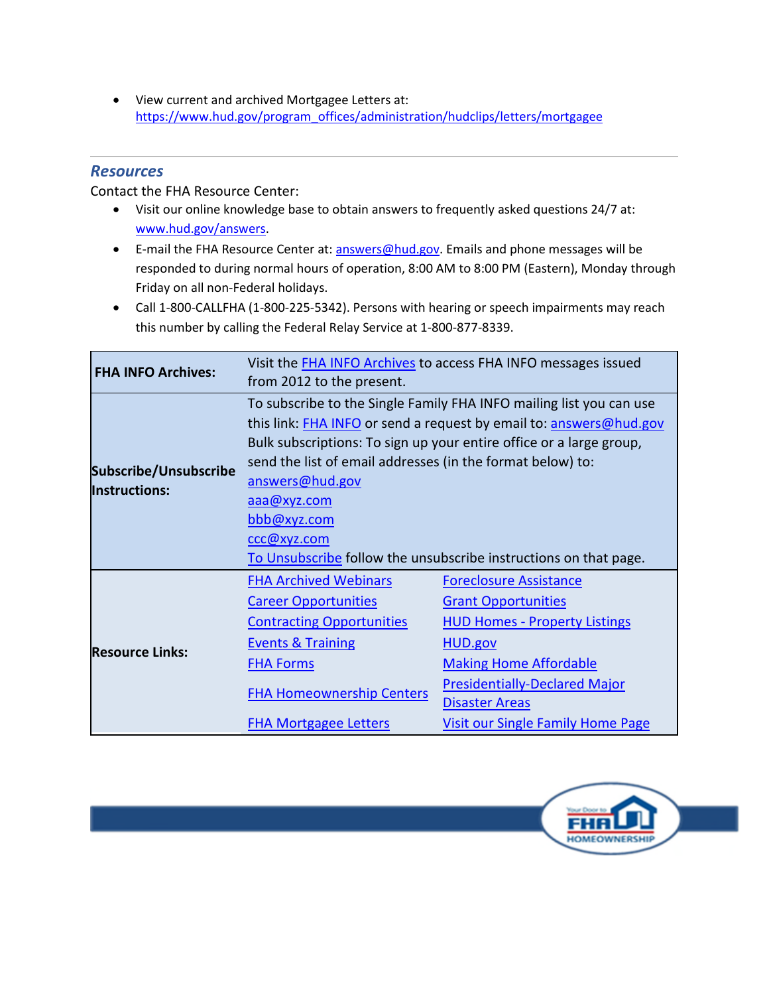View current and archived Mortgagee Letters at: https://www.hud.gov/program\_offices/administration/hudclips/letters/mortgagee

#### *Resources*

Contact the FHA Resource Center:

- Visit our online knowledge base to obtain answers to frequently asked questions 24/7 at: www.hud.gov/answers.
- E-mail the FHA Resource Center at: answers@hud.gov. Emails and phone messages will be responded to during normal hours of operation, 8:00 AM to 8:00 PM (Eastern), Monday through Friday on all non-Federal holidays.
- Call 1-800-CALLFHA (1-800-225-5342). Persons with hearing or speech impairments may reach this number by calling the Federal Relay Service at 1-800-877-8339.

| <b>FHA INFO Archives:</b>                     | Visit the <b>FHA INFO Archives</b> to access FHA INFO messages issued<br>from 2012 to the present. |                                          |
|-----------------------------------------------|----------------------------------------------------------------------------------------------------|------------------------------------------|
|                                               |                                                                                                    |                                          |
| Subscribe/Unsubscribe<br><b>Instructions:</b> | To subscribe to the Single Family FHA INFO mailing list you can use                                |                                          |
|                                               | this link: FHA INFO or send a request by email to: answers@hud.gov                                 |                                          |
|                                               | Bulk subscriptions: To sign up your entire office or a large group,                                |                                          |
|                                               | send the list of email addresses (in the format below) to:                                         |                                          |
|                                               | answers@hud.gov                                                                                    |                                          |
|                                               | aaa@xyz.com                                                                                        |                                          |
|                                               | bbb@xyz.com                                                                                        |                                          |
|                                               | ccc@xyz.com                                                                                        |                                          |
|                                               | To Unsubscribe follow the unsubscribe instructions on that page.                                   |                                          |
| <b>Resource Links:</b>                        | <b>FHA Archived Webinars</b>                                                                       | <b>Foreclosure Assistance</b>            |
|                                               | <b>Career Opportunities</b>                                                                        | <b>Grant Opportunities</b>               |
|                                               | <b>Contracting Opportunities</b>                                                                   | <b>HUD Homes - Property Listings</b>     |
|                                               | <b>Events &amp; Training</b>                                                                       | HUD.gov                                  |
|                                               | <b>FHA Forms</b>                                                                                   | <b>Making Home Affordable</b>            |
|                                               | <b>FHA Homeownership Centers</b>                                                                   | <b>Presidentially-Declared Major</b>     |
|                                               |                                                                                                    | <b>Disaster Areas</b>                    |
|                                               | <b>FHA Mortgagee Letters</b>                                                                       | <b>Visit our Single Family Home Page</b> |